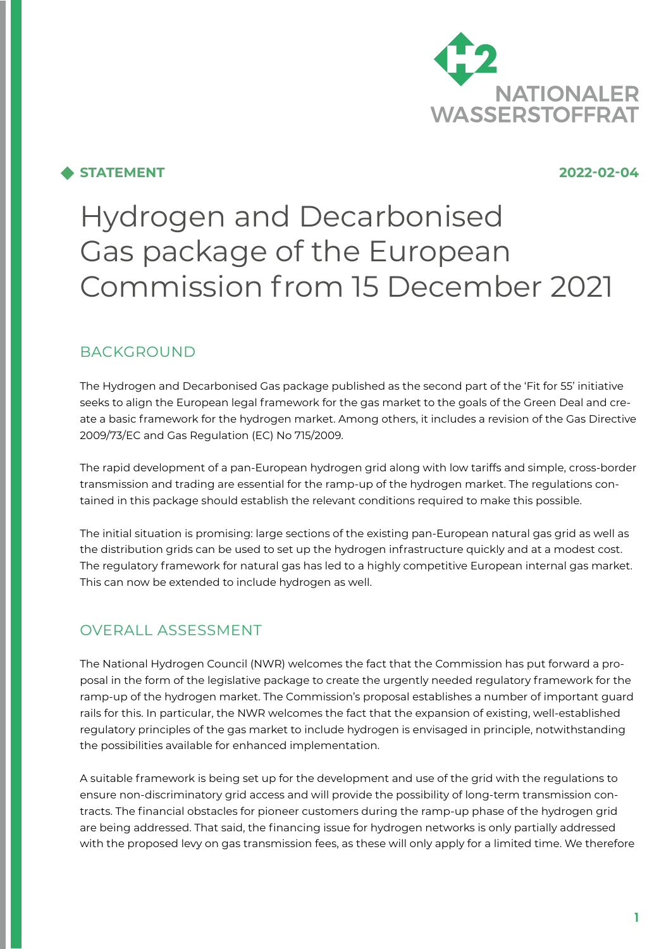

## **STATEMENT 2022-02-04**

# Hydrogen and Decarbonised Gas package of the European Commission from 15 December 2021

# BACKGROUND

The Hydrogen and Decarbonised Gas package published as the second part of the 'Fit for 55' initiative seeks to align the European legal framework for the gas market to the goals of the Green Deal and create a basic framework for the hydrogen market. Among others, it includes a revision of the Gas Directive 2009/73/EC and Gas Regulation (EC) No 715/2009.

The rapid development of a pan-European hydrogen grid along with low tariffs and simple, cross-border transmission and trading are essential for the ramp-up of the hydrogen market. The regulations contained in this package should establish the relevant conditions required to make this possible.

The initial situation is promising: large sections of the existing pan-European natural gas grid as well as the distribution grids can be used to set up the hydrogen infrastructure quickly and at a modest cost. The regulatory framework for natural gas has led to a highly competitive European internal gas market. This can now be extended to include hydrogen as well.

# OVERALL ASSESSMENT

The National Hydrogen Council (NWR) welcomes the fact that the Commission has put forward a proposal in the form of the legislative package to create the urgently needed regulatory framework for the ramp-up of the hydrogen market. The Commission's proposal establishes a number of important guard rails for this. In particular, the NWR welcomes the fact that the expansion of existing, well-established regulatory principles of the gas market to include hydrogen is envisaged in principle, notwithstanding the possibilities available for enhanced implementation.

A suitable framework is being set up for the development and use of the grid with the regulations to ensure non-discriminatory grid access and will provide the possibility of long-term transmission contracts. The financial obstacles for pioneer customers during the ramp-up phase of the hydrogen grid are being addressed. That said, the financing issue for hydrogen networks is only partially addressed with the proposed levy on gas transmission fees, as these will only apply for a limited time. We therefore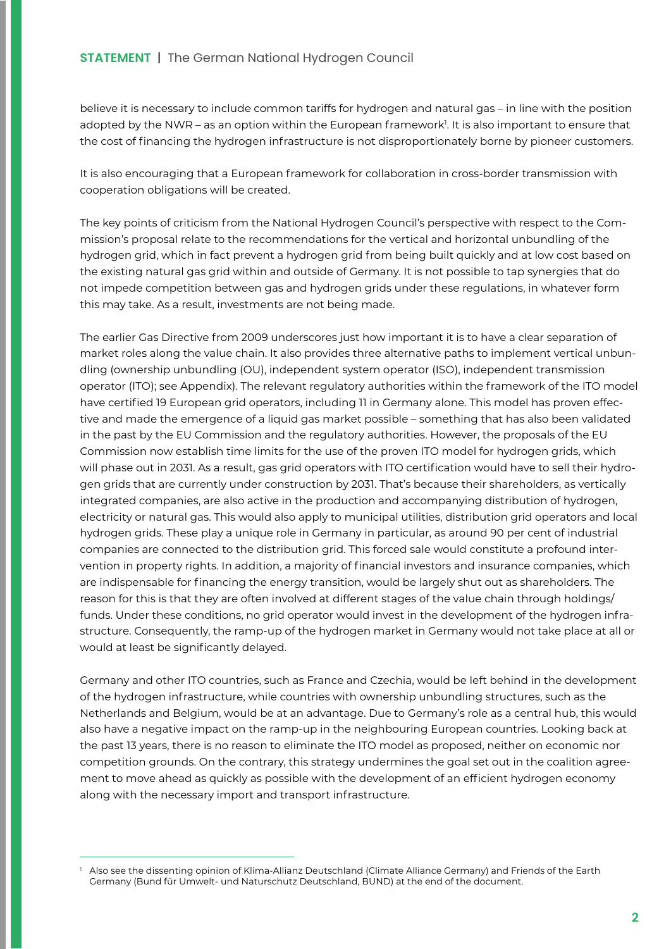believe it is necessary to include common tariffs for hydrogen and natural gas – in line with the position adopted by the NWR – as an option within the European framework<sup>1</sup>. It is also important to ensure that the cost of financing the hydrogen infrastructure is not disproportionately borne by pioneer customers.

It is also encouraging that a European framework for collaboration in cross-border transmission with cooperation obligations will be created.

The key points of criticism from the National Hydrogen Council's perspective with respect to the Commission's proposal relate to the recommendations for the vertical and horizontal unbundling of the hydrogen grid, which in fact prevent a hydrogen grid from being built quickly and at low cost based on the existing natural gas grid within and outside of Germany. It is not possible to tap synergies that do not impede competition between gas and hydrogen grids under these regulations, in whatever form this may take. As a result, investments are not being made.

The earlier Gas Directive from 2009 underscores just how important it is to have a clear separation of market roles along the value chain. It also provides three alternative paths to implement vertical unbundling (ownership unbundling (OU), independent system operator (ISO), independent transmission operator (ITO); see Appendix). The relevant regulatory authorities within the framework of the ITO model have certified 19 European grid operators, including 11 in Germany alone. This model has proven effective and made the emergence of a liquid gas market possible – something that has also been validated in the past by the EU Commission and the regulatory authorities. However, the proposals of the EU Commission now establish time limits for the use of the proven ITO model for hydrogen grids, which will phase out in 2031. As a result, gas grid operators with ITO certification would have to sell their hydrogen grids that are currently under construction by 2031. That's because their shareholders, as vertically integrated companies, are also active in the production and accompanying distribution of hydrogen, electricity or natural gas. This would also apply to municipal utilities, distribution grid operators and local hydrogen grids. These play a unique role in Germany in particular, as around 90 per cent of industrial companies are connected to the distribution grid. This forced sale would constitute a profound intervention in property rights. In addition, a majority of financial investors and insurance companies, which are indispensable for financing the energy transition, would be largely shut out as shareholders. The reason for this is that they are often involved at different stages of the value chain through holdings/ funds. Under these conditions, no grid operator would invest in the development of the hydrogen infrastructure. Consequently, the ramp-up of the hydrogen market in Germany would not take place at all or would at least be significantly delayed.

Germany and other ITO countries, such as France and Czechia, would be left behind in the development of the hydrogen infrastructure, while countries with ownership unbundling structures, such as the Netherlands and Belgium, would be at an advantage. Due to Germany's role as a central hub, this would also have a negative impact on the ramp-up in the neighbouring European countries. Looking back at the past 13 years, there is no reason to eliminate the ITO model as proposed, neither on economic nor competition grounds. On the contrary, this strategy undermines the goal set out in the coalition agreement to move ahead as quickly as possible with the development of an efficient hydrogen economy along with the necessary import and transport infrastructure.

Also see the dissenting opinion of Klima-Allianz Deutschland (Climate Alliance Germany) and Friends of the Earth Germany (Bund für Umwelt- und Naturschutz Deutschland, BUND) at the end of the document.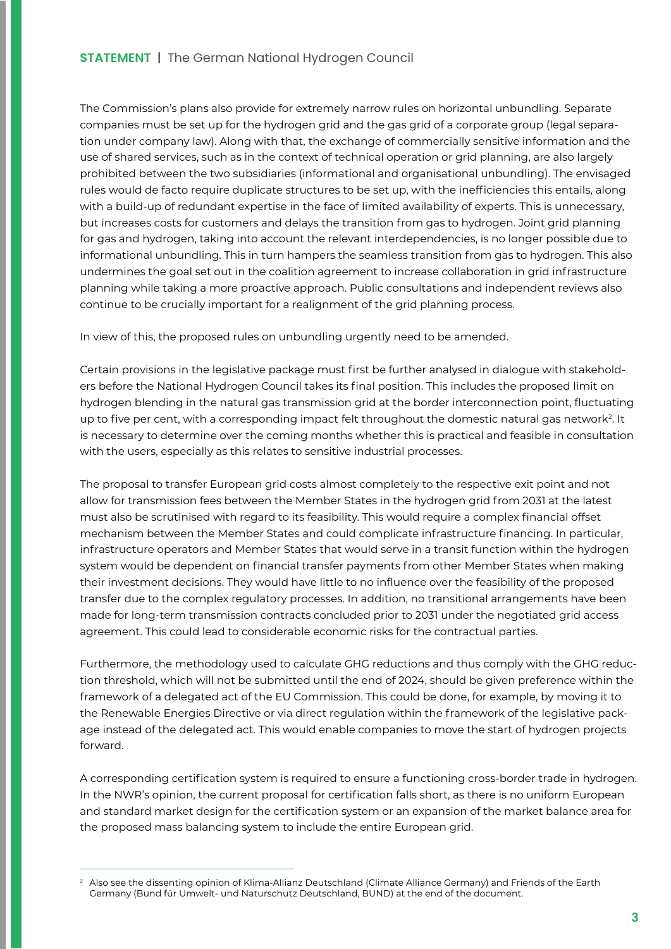The Commission's plans also provide for extremely narrow rules on horizontal unbundling. Separate companies must be set up for the hydrogen grid and the gas grid of a corporate group (legal separation under company law). Along with that, the exchange of commercially sensitive information and the use of shared services, such as in the context of technical operation or grid planning, are also largely prohibited between the two subsidiaries (informational and organisational unbundling). The envisaged rules would de facto require duplicate structures to be set up, with the inefficiencies this entails, along with a build-up of redundant expertise in the face of limited availability of experts. This is unnecessary, but increases costs for customers and delays the transition from gas to hydrogen. Joint grid planning for gas and hydrogen, taking into account the relevant interdependencies, is no longer possible due to informational unbundling. This in turn hampers the seamless transition from gas to hydrogen. This also undermines the goal set out in the coalition agreement to increase collaboration in grid infrastructure planning while taking a more proactive approach. Public consultations and independent reviews also continue to be crucially important for a realignment of the grid planning process.

In view of this, the proposed rules on unbundling urgently need to be amended.

Certain provisions in the legislative package must first be further analysed in dialogue with stakeholders before the National Hydrogen Council takes its final position. This includes the proposed limit on hydrogen blending in the natural gas transmission grid at the border interconnection point, fluctuating up to five per cent, with a corresponding impact felt throughout the domestic natural gas network<sup>2</sup>. It is necessary to determine over the coming months whether this is practical and feasible in consultation with the users, especially as this relates to sensitive industrial processes.

The proposal to transfer European grid costs almost completely to the respective exit point and not allow for transmission fees between the Member States in the hydrogen grid from 2031 at the latest must also be scrutinised with regard to its feasibility. This would require a complex financial offset mechanism between the Member States and could complicate infrastructure financing. In particular, infrastructure operators and Member States that would serve in a transit function within the hydrogen system would be dependent on financial transfer payments from other Member States when making their investment decisions. They would have little to no influence over the feasibility of the proposed transfer due to the complex regulatory processes. In addition, no transitional arrangements have been made for long-term transmission contracts concluded prior to 2031 under the negotiated grid access agreement. This could lead to considerable economic risks for the contractual parties.

Furthermore, the methodology used to calculate GHG reductions and thus comply with the GHG reduction threshold, which will not be submitted until the end of 2024, should be given preference within the framework of a delegated act of the EU Commission. This could be done, for example, by moving it to the Renewable Energies Directive or via direct regulation within the framework of the legislative package instead of the delegated act. This would enable companies to move the start of hydrogen projects forward.

A corresponding certification system is required to ensure a functioning cross-border trade in hydrogen. In the NWR's opinion, the current proposal for certification falls short, as there is no uniform European and standard market design for the certification system or an expansion of the market balance area for the proposed mass balancing system to include the entire European grid.

<sup>&</sup>lt;sup>2</sup> Also see the dissenting opinion of Klima-Allianz Deutschland (Climate Alliance Germany) and Friends of the Earth Germany (Bund für Umwelt- und Naturschutz Deutschland, BUND) at the end of the document.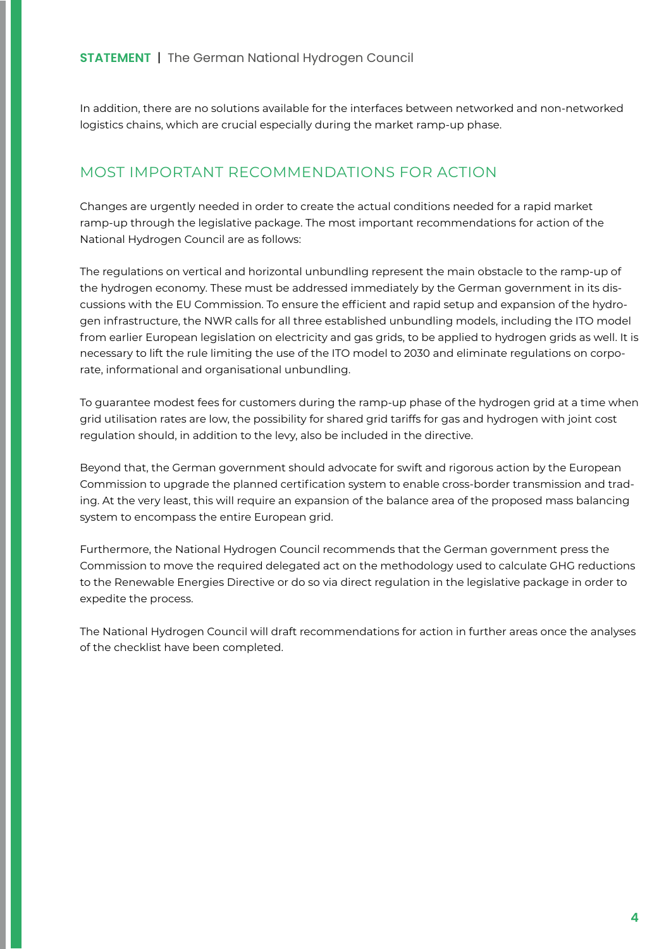In addition, there are no solutions available for the interfaces between networked and non-networked logistics chains, which are crucial especially during the market ramp-up phase.

## MOST IMPORTANT RECOMMENDATIONS FOR ACTION

Changes are urgently needed in order to create the actual conditions needed for a rapid market ramp-up through the legislative package. The most important recommendations for action of the National Hydrogen Council are as follows:

The regulations on vertical and horizontal unbundling represent the main obstacle to the ramp-up of the hydrogen economy. These must be addressed immediately by the German government in its discussions with the EU Commission. To ensure the efficient and rapid setup and expansion of the hydrogen infrastructure, the NWR calls for all three established unbundling models, including the ITO model from earlier European legislation on electricity and gas grids, to be applied to hydrogen grids as well. It is necessary to lift the rule limiting the use of the ITO model to 2030 and eliminate regulations on corporate, informational and organisational unbundling.

To guarantee modest fees for customers during the ramp-up phase of the hydrogen grid at a time when grid utilisation rates are low, the possibility for shared grid tariffs for gas and hydrogen with joint cost regulation should, in addition to the levy, also be included in the directive.

Beyond that, the German government should advocate for swift and rigorous action by the European Commission to upgrade the planned certification system to enable cross-border transmission and trading. At the very least, this will require an expansion of the balance area of the proposed mass balancing system to encompass the entire European grid.

Furthermore, the National Hydrogen Council recommends that the German government press the Commission to move the required delegated act on the methodology used to calculate GHG reductions to the Renewable Energies Directive or do so via direct regulation in the legislative package in order to expedite the process.

The National Hydrogen Council will draft recommendations for action in further areas once the analyses of the checklist have been completed.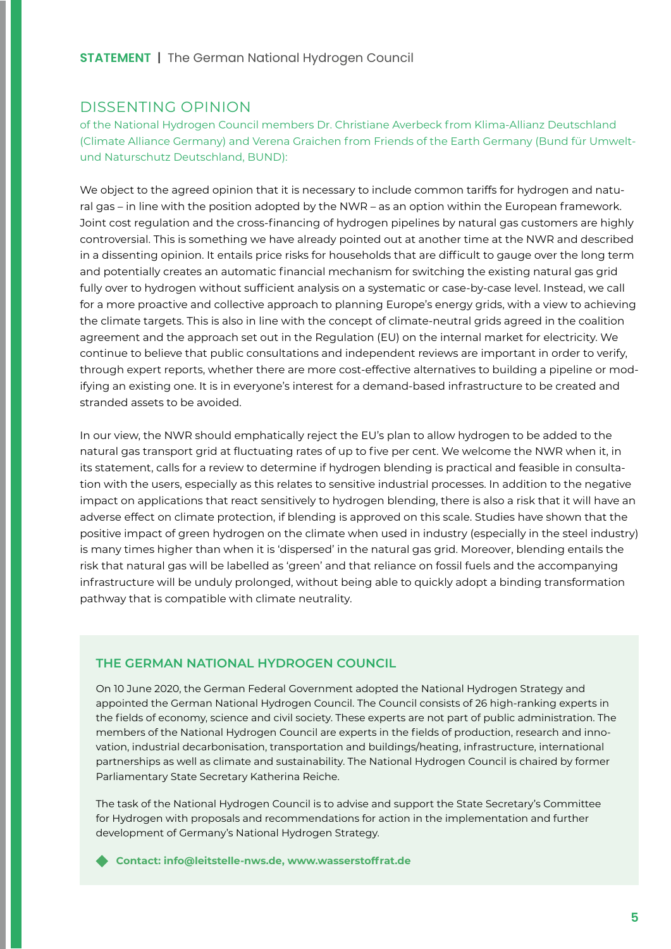### DISSENTING OPINION

of the National Hydrogen Council members Dr. Christiane Averbeck from Klima-Allianz Deutschland (Climate Alliance Germany) and Verena Graichen from Friends of the Earth Germany (Bund für Umweltund Naturschutz Deutschland, BUND):

We object to the agreed opinion that it is necessary to include common tariffs for hydrogen and natural gas – in line with the position adopted by the NWR – as an option within the European framework. Joint cost regulation and the cross-financing of hydrogen pipelines by natural gas customers are highly controversial. This is something we have already pointed out at another time at the NWR and described in a dissenting opinion. It entails price risks for households that are difficult to gauge over the long term and potentially creates an automatic financial mechanism for switching the existing natural gas grid fully over to hydrogen without sufficient analysis on a systematic or case-by-case level. Instead, we call for a more proactive and collective approach to planning Europe's energy grids, with a view to achieving the climate targets. This is also in line with the concept of climate-neutral grids agreed in the coalition agreement and the approach set out in the Regulation (EU) on the internal market for electricity. We continue to believe that public consultations and independent reviews are important in order to verify, through expert reports, whether there are more cost-effective alternatives to building a pipeline or modifying an existing one. It is in everyone's interest for a demand-based infrastructure to be created and stranded assets to be avoided.

In our view, the NWR should emphatically reject the EU's plan to allow hydrogen to be added to the natural gas transport grid at fluctuating rates of up to five per cent. We welcome the NWR when it, in its statement, calls for a review to determine if hydrogen blending is practical and feasible in consultation with the users, especially as this relates to sensitive industrial processes. In addition to the negative impact on applications that react sensitively to hydrogen blending, there is also a risk that it will have an adverse effect on climate protection, if blending is approved on this scale. Studies have shown that the positive impact of green hydrogen on the climate when used in industry (especially in the steel industry) is many times higher than when it is 'dispersed' in the natural gas grid. Moreover, blending entails the risk that natural gas will be labelled as 'green' and that reliance on fossil fuels and the accompanying infrastructure will be unduly prolonged, without being able to quickly adopt a binding transformation pathway that is compatible with climate neutrality.

#### **THE GERMAN NATIONAL HYDROGEN COUNCIL**

On 10 June 2020, the German Federal Government adopted the National Hydrogen Strategy and appointed the German National Hydrogen Council. The Council consists of 26 high-ranking experts in the fields of economy, science and civil society. These experts are not part of public administration. The members of the National Hydrogen Council are experts in the fields of production, research and innovation, industrial decarbonisation, transportation and buildings/heating, infrastructure, international partnerships as well as climate and sustainability. The National Hydrogen Council is chaired by former Parliamentary State Secretary Katherina Reiche.

The task of the National Hydrogen Council is to advise and support the State Secretary's Committee for Hydrogen with proposals and recommendations for action in the implementation and further development of Germany's National Hydrogen Strategy.

**Contact: [info@leitstelle-nws.de](mailto:info%40leitstelle-nws.de?subject=), [www.wasserstoffrat.de](https://www.wasserstoffrat.de)**